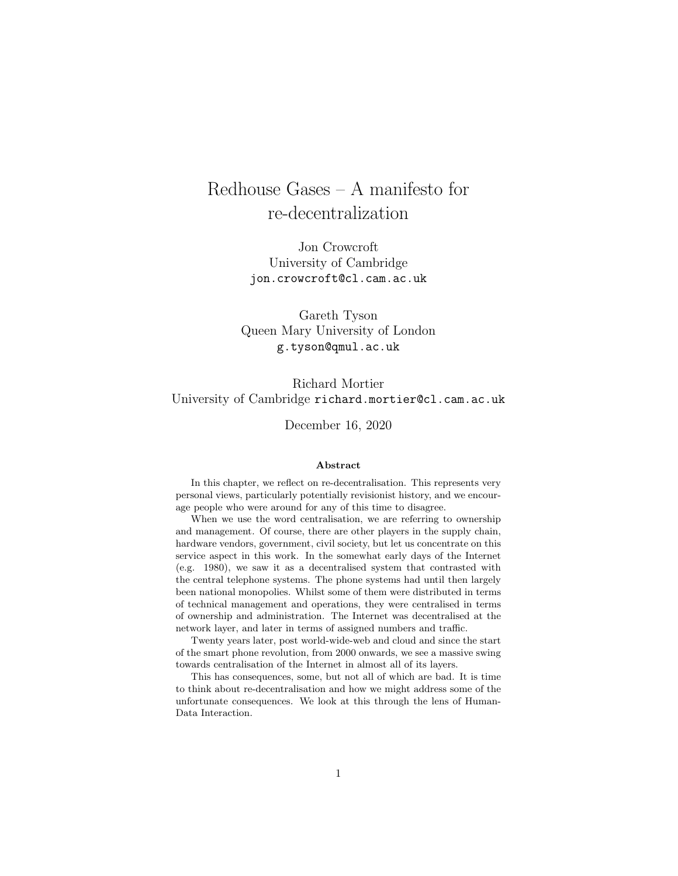# Redhouse Gases – A manifesto for re-decentralization

Jon Crowcroft University of Cambridge jon.crowcroft@cl.cam.ac.uk

Gareth Tyson Queen Mary University of London g.tyson@qmul.ac.uk

Richard Mortier University of Cambridge richard.mortier@cl.cam.ac.uk

December 16, 2020

#### Abstract

In this chapter, we reflect on re-decentralisation. This represents very personal views, particularly potentially revisionist history, and we encourage people who were around for any of this time to disagree.

When we use the word centralisation, we are referring to ownership and management. Of course, there are other players in the supply chain, hardware vendors, government, civil society, but let us concentrate on this service aspect in this work. In the somewhat early days of the Internet (e.g. 1980), we saw it as a decentralised system that contrasted with the central telephone systems. The phone systems had until then largely been national monopolies. Whilst some of them were distributed in terms of technical management and operations, they were centralised in terms of ownership and administration. The Internet was decentralised at the network layer, and later in terms of assigned numbers and traffic.

Twenty years later, post world-wide-web and cloud and since the start of the smart phone revolution, from 2000 onwards, we see a massive swing towards centralisation of the Internet in almost all of its layers.

This has consequences, some, but not all of which are bad. It is time to think about re-decentralisation and how we might address some of the unfortunate consequences. We look at this through the lens of Human-Data Interaction.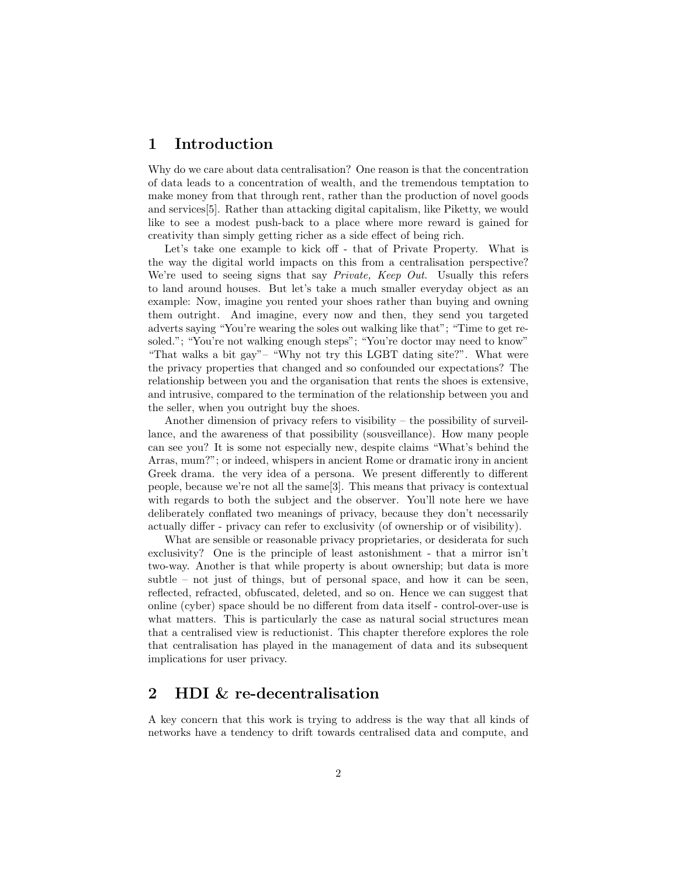#### 1 Introduction

Why do we care about data centralisation? One reason is that the concentration of data leads to a concentration of wealth, and the tremendous temptation to make money from that through rent, rather than the production of novel goods and services[5]. Rather than attacking digital capitalism, like Piketty, we would like to see a modest push-back to a place where more reward is gained for creativity than simply getting richer as a side effect of being rich.

Let's take one example to kick off - that of Private Property. What is the way the digital world impacts on this from a centralisation perspective? We're used to seeing signs that say *Private*, *Keep Out*. Usually this refers to land around houses. But let's take a much smaller everyday object as an example: Now, imagine you rented your shoes rather than buying and owning them outright. And imagine, every now and then, they send you targeted adverts saying "You're wearing the soles out walking like that"; "Time to get resoled."; "You're not walking enough steps"; "You're doctor may need to know" "That walks a bit gay"– "Why not try this LGBT dating site?". What were the privacy properties that changed and so confounded our expectations? The relationship between you and the organisation that rents the shoes is extensive, and intrusive, compared to the termination of the relationship between you and the seller, when you outright buy the shoes.

Another dimension of privacy refers to visibility – the possibility of surveillance, and the awareness of that possibility (sousveillance). How many people can see you? It is some not especially new, despite claims "What's behind the Arras, mum?"; or indeed, whispers in ancient Rome or dramatic irony in ancient Greek drama. the very idea of a persona. We present differently to different people, because we're not all the same[3]. This means that privacy is contextual with regards to both the subject and the observer. You'll note here we have deliberately conflated two meanings of privacy, because they don't necessarily actually differ - privacy can refer to exclusivity (of ownership or of visibility).

What are sensible or reasonable privacy proprietaries, or desiderata for such exclusivity? One is the principle of least astonishment - that a mirror isn't two-way. Another is that while property is about ownership; but data is more subtle – not just of things, but of personal space, and how it can be seen, reflected, refracted, obfuscated, deleted, and so on. Hence we can suggest that online (cyber) space should be no different from data itself - control-over-use is what matters. This is particularly the case as natural social structures mean that a centralised view is reductionist. This chapter therefore explores the role that centralisation has played in the management of data and its subsequent implications for user privacy.

## 2 HDI & re-decentralisation

A key concern that this work is trying to address is the way that all kinds of networks have a tendency to drift towards centralised data and compute, and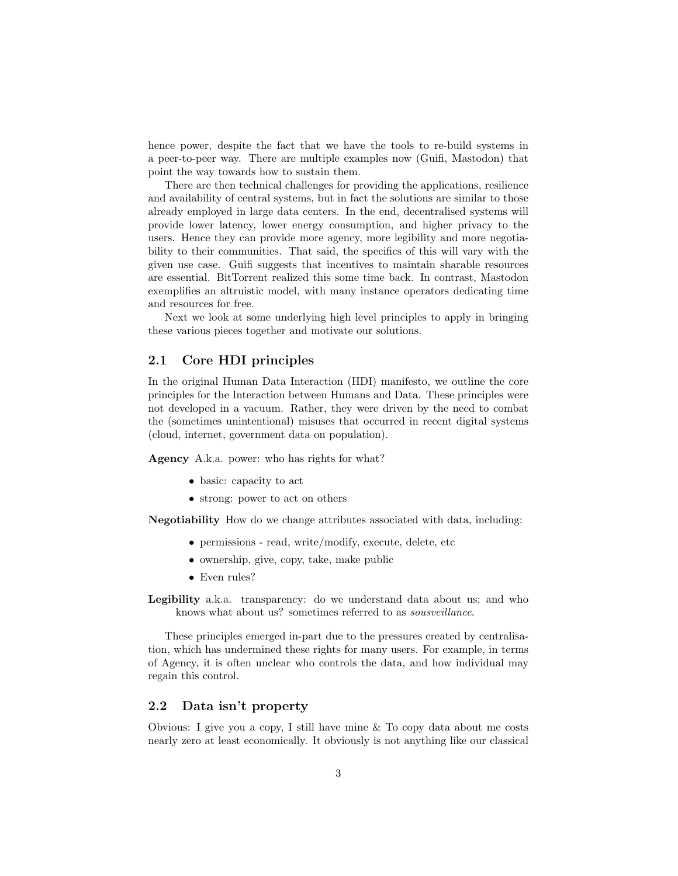hence power, despite the fact that we have the tools to re-build systems in a peer-to-peer way. There are multiple examples now (Guifi, Mastodon) that point the way towards how to sustain them.

There are then technical challenges for providing the applications, resilience and availability of central systems, but in fact the solutions are similar to those already employed in large data centers. In the end, decentralised systems will provide lower latency, lower energy consumption, and higher privacy to the users. Hence they can provide more agency, more legibility and more negotiability to their communities. That said, the specifics of this will vary with the given use case. Guifi suggests that incentives to maintain sharable resources are essential. BitTorrent realized this some time back. In contrast, Mastodon exemplifies an altruistic model, with many instance operators dedicating time and resources for free.

Next we look at some underlying high level principles to apply in bringing these various pieces together and motivate our solutions.

#### 2.1 Core HDI principles

In the original Human Data Interaction (HDI) manifesto, we outline the core principles for the Interaction between Humans and Data. These principles were not developed in a vacuum. Rather, they were driven by the need to combat the (sometimes unintentional) misuses that occurred in recent digital systems (cloud, internet, government data on population).

Agency A.k.a. power: who has rights for what?

- basic: capacity to act
- strong: power to act on others

Negotiability How do we change attributes associated with data, including:

- permissions read, write/modify, execute, delete, etc
- ownership, give, copy, take, make public
- Even rules?

Legibility a.k.a. transparency: do we understand data about us; and who knows what about us? sometimes referred to as sousveillance.

These principles emerged in-part due to the pressures created by centralisation, which has undermined these rights for many users. For example, in terms of Agency, it is often unclear who controls the data, and how individual may regain this control.

#### 2.2 Data isn't property

Obvious: I give you a copy, I still have mine & To copy data about me costs nearly zero at least economically. It obviously is not anything like our classical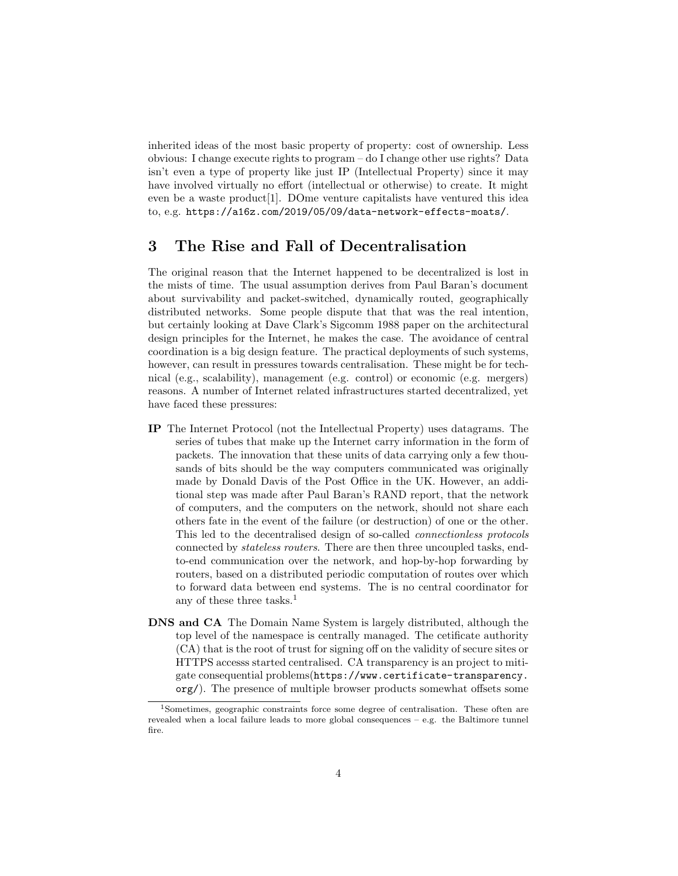inherited ideas of the most basic property of property: cost of ownership. Less obvious: I change execute rights to program – do I change other use rights? Data isn't even a type of property like just IP (Intellectual Property) since it may have involved virtually no effort (intellectual or otherwise) to create. It might even be a waste product[1]. DOme venture capitalists have ventured this idea to, e.g. https://a16z.com/2019/05/09/data-network-effects-moats/.

#### 3 The Rise and Fall of Decentralisation

The original reason that the Internet happened to be decentralized is lost in the mists of time. The usual assumption derives from Paul Baran's document about survivability and packet-switched, dynamically routed, geographically distributed networks. Some people dispute that that was the real intention, but certainly looking at Dave Clark's Sigcomm 1988 paper on the architectural design principles for the Internet, he makes the case. The avoidance of central coordination is a big design feature. The practical deployments of such systems, however, can result in pressures towards centralisation. These might be for technical (e.g., scalability), management (e.g. control) or economic (e.g. mergers) reasons. A number of Internet related infrastructures started decentralized, yet have faced these pressures:

- IP The Internet Protocol (not the Intellectual Property) uses datagrams. The series of tubes that make up the Internet carry information in the form of packets. The innovation that these units of data carrying only a few thousands of bits should be the way computers communicated was originally made by Donald Davis of the Post Office in the UK. However, an additional step was made after Paul Baran's RAND report, that the network of computers, and the computers on the network, should not share each others fate in the event of the failure (or destruction) of one or the other. This led to the decentralised design of so-called connectionless protocols connected by stateless routers. There are then three uncoupled tasks, endto-end communication over the network, and hop-by-hop forwarding by routers, based on a distributed periodic computation of routes over which to forward data between end systems. The is no central coordinator for any of these three tasks.<sup>1</sup>
- DNS and CA The Domain Name System is largely distributed, although the top level of the namespace is centrally managed. The cetificate authority (CA) that is the root of trust for signing off on the validity of secure sites or HTTPS accesss started centralised. CA transparency is an project to mitigate consequential problems(https://www.certificate-transparency. org/). The presence of multiple browser products somewhat offsets some

<sup>1</sup>Sometimes, geographic constraints force some degree of centralisation. These often are revealed when a local failure leads to more global consequences – e.g. the Baltimore tunnel fire.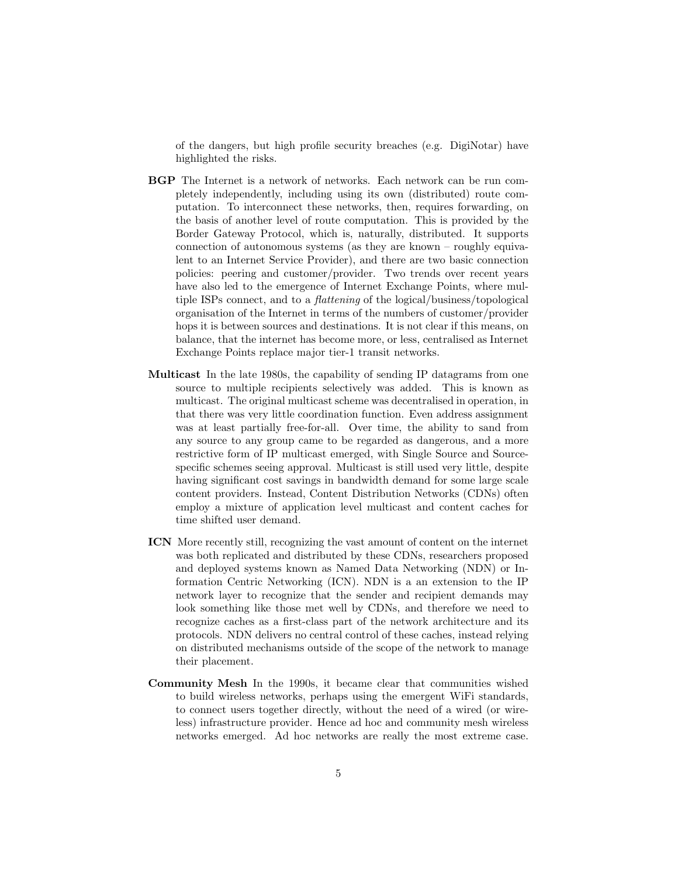of the dangers, but high profile security breaches (e.g. DigiNotar) have highlighted the risks.

- BGP The Internet is a network of networks. Each network can be run completely independently, including using its own (distributed) route computation. To interconnect these networks, then, requires forwarding, on the basis of another level of route computation. This is provided by the Border Gateway Protocol, which is, naturally, distributed. It supports connection of autonomous systems (as they are known – roughly equivalent to an Internet Service Provider), and there are two basic connection policies: peering and customer/provider. Two trends over recent years have also led to the emergence of Internet Exchange Points, where multiple ISPs connect, and to a flattening of the logical/business/topological organisation of the Internet in terms of the numbers of customer/provider hops it is between sources and destinations. It is not clear if this means, on balance, that the internet has become more, or less, centralised as Internet Exchange Points replace major tier-1 transit networks.
- Multicast In the late 1980s, the capability of sending IP datagrams from one source to multiple recipients selectively was added. This is known as multicast. The original multicast scheme was decentralised in operation, in that there was very little coordination function. Even address assignment was at least partially free-for-all. Over time, the ability to sand from any source to any group came to be regarded as dangerous, and a more restrictive form of IP multicast emerged, with Single Source and Sourcespecific schemes seeing approval. Multicast is still used very little, despite having significant cost savings in bandwidth demand for some large scale content providers. Instead, Content Distribution Networks (CDNs) often employ a mixture of application level multicast and content caches for time shifted user demand.
- ICN More recently still, recognizing the vast amount of content on the internet was both replicated and distributed by these CDNs, researchers proposed and deployed systems known as Named Data Networking (NDN) or Information Centric Networking (ICN). NDN is a an extension to the IP network layer to recognize that the sender and recipient demands may look something like those met well by CDNs, and therefore we need to recognize caches as a first-class part of the network architecture and its protocols. NDN delivers no central control of these caches, instead relying on distributed mechanisms outside of the scope of the network to manage their placement.
- Community Mesh In the 1990s, it became clear that communities wished to build wireless networks, perhaps using the emergent WiFi standards, to connect users together directly, without the need of a wired (or wireless) infrastructure provider. Hence ad hoc and community mesh wireless networks emerged. Ad hoc networks are really the most extreme case.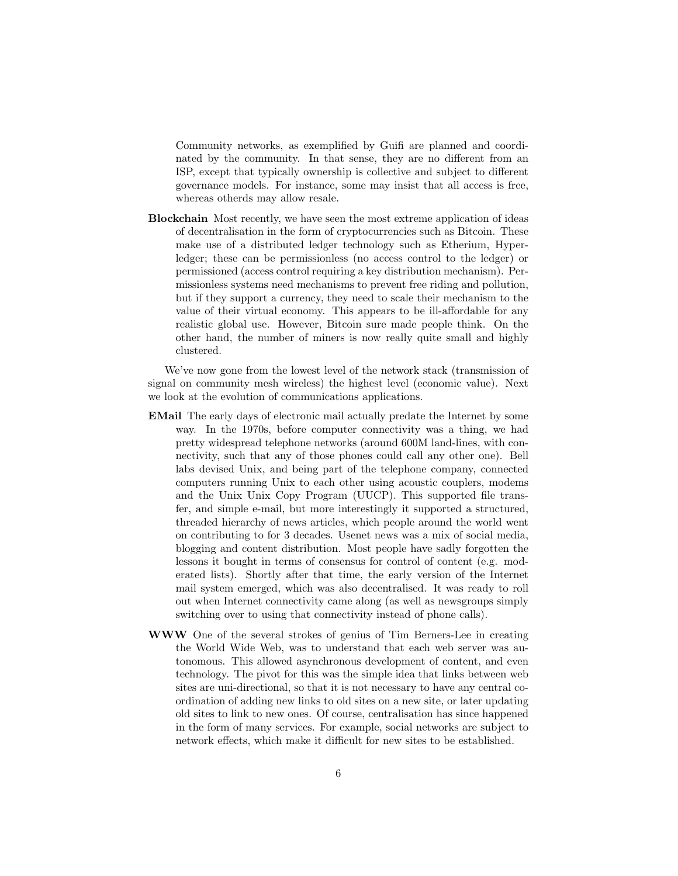Community networks, as exemplified by Guifi are planned and coordinated by the community. In that sense, they are no different from an ISP, except that typically ownership is collective and subject to different governance models. For instance, some may insist that all access is free, whereas otherds may allow resale.

Blockchain Most recently, we have seen the most extreme application of ideas of decentralisation in the form of cryptocurrencies such as Bitcoin. These make use of a distributed ledger technology such as Etherium, Hyperledger; these can be permissionless (no access control to the ledger) or permissioned (access control requiring a key distribution mechanism). Permissionless systems need mechanisms to prevent free riding and pollution, but if they support a currency, they need to scale their mechanism to the value of their virtual economy. This appears to be ill-affordable for any realistic global use. However, Bitcoin sure made people think. On the other hand, the number of miners is now really quite small and highly clustered.

We've now gone from the lowest level of the network stack (transmission of signal on community mesh wireless) the highest level (economic value). Next we look at the evolution of communications applications.

- EMail The early days of electronic mail actually predate the Internet by some way. In the 1970s, before computer connectivity was a thing, we had pretty widespread telephone networks (around 600M land-lines, with connectivity, such that any of those phones could call any other one). Bell labs devised Unix, and being part of the telephone company, connected computers running Unix to each other using acoustic couplers, modems and the Unix Unix Copy Program (UUCP). This supported file transfer, and simple e-mail, but more interestingly it supported a structured, threaded hierarchy of news articles, which people around the world went on contributing to for 3 decades. Usenet news was a mix of social media, blogging and content distribution. Most people have sadly forgotten the lessons it bought in terms of consensus for control of content (e.g. moderated lists). Shortly after that time, the early version of the Internet mail system emerged, which was also decentralised. It was ready to roll out when Internet connectivity came along (as well as newsgroups simply switching over to using that connectivity instead of phone calls).
- WWW One of the several strokes of genius of Tim Berners-Lee in creating the World Wide Web, was to understand that each web server was autonomous. This allowed asynchronous development of content, and even technology. The pivot for this was the simple idea that links between web sites are uni-directional, so that it is not necessary to have any central coordination of adding new links to old sites on a new site, or later updating old sites to link to new ones. Of course, centralisation has since happened in the form of many services. For example, social networks are subject to network effects, which make it difficult for new sites to be established.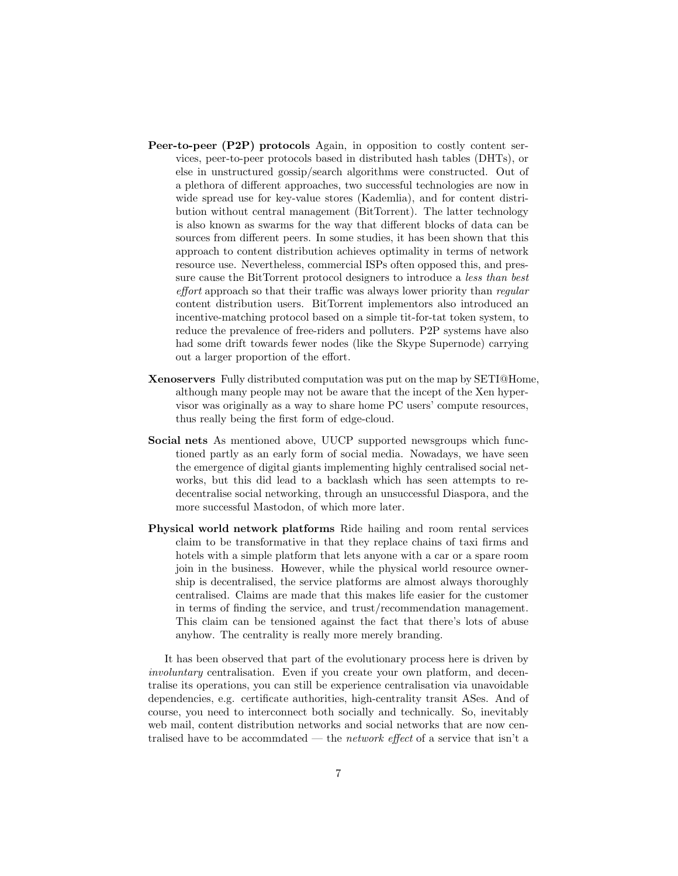- Peer-to-peer (P2P) protocols Again, in opposition to costly content services, peer-to-peer protocols based in distributed hash tables (DHTs), or else in unstructured gossip/search algorithms were constructed. Out of a plethora of different approaches, two successful technologies are now in wide spread use for key-value stores (Kademlia), and for content distribution without central management (BitTorrent). The latter technology is also known as swarms for the way that different blocks of data can be sources from different peers. In some studies, it has been shown that this approach to content distribution achieves optimality in terms of network resource use. Nevertheless, commercial ISPs often opposed this, and pressure cause the BitTorrent protocol designers to introduce a less than best effort approach so that their traffic was always lower priority than regular content distribution users. BitTorrent implementors also introduced an incentive-matching protocol based on a simple tit-for-tat token system, to reduce the prevalence of free-riders and polluters. P2P systems have also had some drift towards fewer nodes (like the Skype Supernode) carrying out a larger proportion of the effort.
- Xenoservers Fully distributed computation was put on the map by SETI@Home, although many people may not be aware that the incept of the Xen hypervisor was originally as a way to share home PC users' compute resources, thus really being the first form of edge-cloud.
- Social nets As mentioned above, UUCP supported newsgroups which functioned partly as an early form of social media. Nowadays, we have seen the emergence of digital giants implementing highly centralised social networks, but this did lead to a backlash which has seen attempts to redecentralise social networking, through an unsuccessful Diaspora, and the more successful Mastodon, of which more later.
- Physical world network platforms Ride hailing and room rental services claim to be transformative in that they replace chains of taxi firms and hotels with a simple platform that lets anyone with a car or a spare room join in the business. However, while the physical world resource ownership is decentralised, the service platforms are almost always thoroughly centralised. Claims are made that this makes life easier for the customer in terms of finding the service, and trust/recommendation management. This claim can be tensioned against the fact that there's lots of abuse anyhow. The centrality is really more merely branding.

It has been observed that part of the evolutionary process here is driven by involuntary centralisation. Even if you create your own platform, and decentralise its operations, you can still be experience centralisation via unavoidable dependencies, e.g. certificate authorities, high-centrality transit ASes. And of course, you need to interconnect both socially and technically. So, inevitably web mail, content distribution networks and social networks that are now centralised have to be accommdated — the *network effect* of a service that  $\sin^{\prime}$  a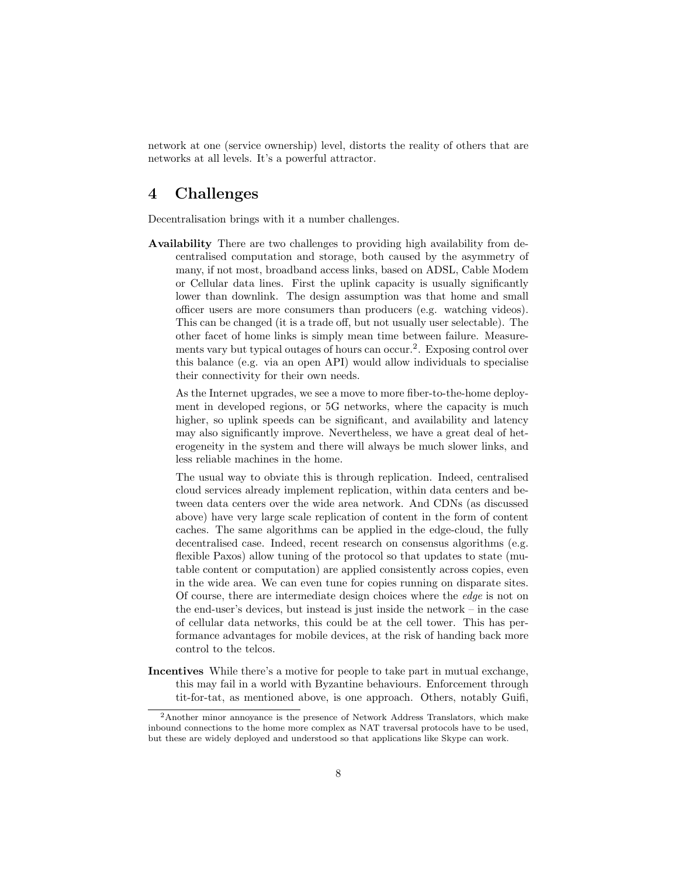network at one (service ownership) level, distorts the reality of others that are networks at all levels. It's a powerful attractor.

#### 4 Challenges

Decentralisation brings with it a number challenges.

Availability There are two challenges to providing high availability from decentralised computation and storage, both caused by the asymmetry of many, if not most, broadband access links, based on ADSL, Cable Modem or Cellular data lines. First the uplink capacity is usually significantly lower than downlink. The design assumption was that home and small officer users are more consumers than producers (e.g. watching videos). This can be changed (it is a trade off, but not usually user selectable). The other facet of home links is simply mean time between failure. Measurements vary but typical outages of hours can occur.<sup>2</sup>. Exposing control over this balance (e.g. via an open API) would allow individuals to specialise their connectivity for their own needs.

As the Internet upgrades, we see a move to more fiber-to-the-home deployment in developed regions, or 5G networks, where the capacity is much higher, so uplink speeds can be significant, and availability and latency may also significantly improve. Nevertheless, we have a great deal of heterogeneity in the system and there will always be much slower links, and less reliable machines in the home.

The usual way to obviate this is through replication. Indeed, centralised cloud services already implement replication, within data centers and between data centers over the wide area network. And CDNs (as discussed above) have very large scale replication of content in the form of content caches. The same algorithms can be applied in the edge-cloud, the fully decentralised case. Indeed, recent research on consensus algorithms (e.g. flexible Paxos) allow tuning of the protocol so that updates to state (mutable content or computation) are applied consistently across copies, even in the wide area. We can even tune for copies running on disparate sites. Of course, there are intermediate design choices where the edge is not on the end-user's devices, but instead is just inside the network – in the case of cellular data networks, this could be at the cell tower. This has performance advantages for mobile devices, at the risk of handing back more control to the telcos.

Incentives While there's a motive for people to take part in mutual exchange, this may fail in a world with Byzantine behaviours. Enforcement through tit-for-tat, as mentioned above, is one approach. Others, notably Guifi,

<sup>2</sup>Another minor annoyance is the presence of Network Address Translators, which make inbound connections to the home more complex as NAT traversal protocols have to be used, but these are widely deployed and understood so that applications like Skype can work.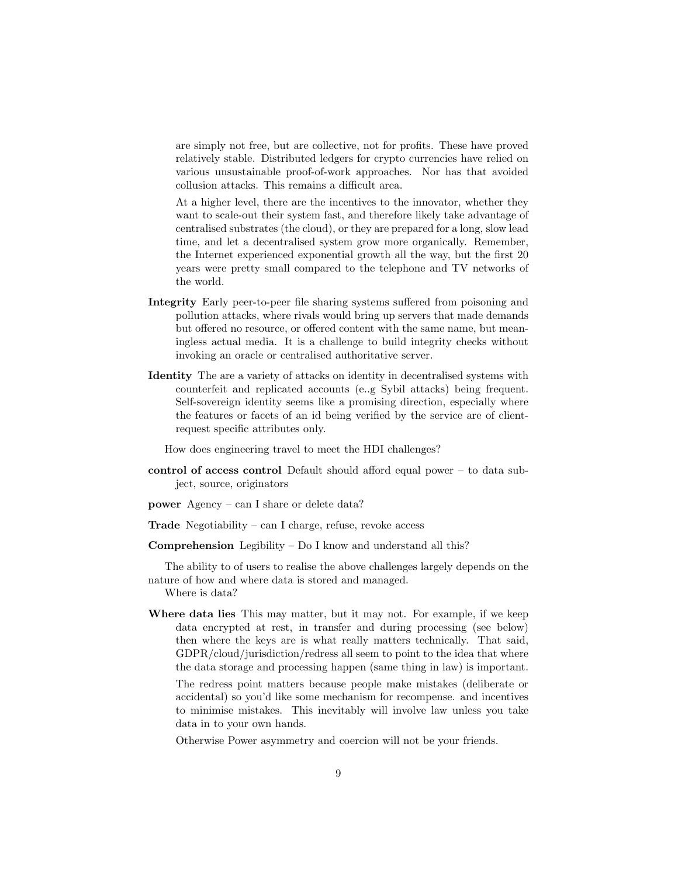are simply not free, but are collective, not for profits. These have proved relatively stable. Distributed ledgers for crypto currencies have relied on various unsustainable proof-of-work approaches. Nor has that avoided collusion attacks. This remains a difficult area.

At a higher level, there are the incentives to the innovator, whether they want to scale-out their system fast, and therefore likely take advantage of centralised substrates (the cloud), or they are prepared for a long, slow lead time, and let a decentralised system grow more organically. Remember, the Internet experienced exponential growth all the way, but the first 20 years were pretty small compared to the telephone and TV networks of the world.

- Integrity Early peer-to-peer file sharing systems suffered from poisoning and pollution attacks, where rivals would bring up servers that made demands but offered no resource, or offered content with the same name, but meaningless actual media. It is a challenge to build integrity checks without invoking an oracle or centralised authoritative server.
- Identity The are a variety of attacks on identity in decentralised systems with counterfeit and replicated accounts (e..g Sybil attacks) being frequent. Self-sovereign identity seems like a promising direction, especially where the features or facets of an id being verified by the service are of clientrequest specific attributes only.

How does engineering travel to meet the HDI challenges?

- control of access control Default should afford equal power to data subject, source, originators
- power Agency can I share or delete data?
- **Trade** Negotiability can I charge, refuse, revoke access
- Comprehension Legibility Do I know and understand all this?

The ability to of users to realise the above challenges largely depends on the nature of how and where data is stored and managed.

Where is data?

Where data lies This may matter, but it may not. For example, if we keep data encrypted at rest, in transfer and during processing (see below) then where the keys are is what really matters technically. That said, GDPR/cloud/jurisdiction/redress all seem to point to the idea that where the data storage and processing happen (same thing in law) is important.

The redress point matters because people make mistakes (deliberate or accidental) so you'd like some mechanism for recompense. and incentives to minimise mistakes. This inevitably will involve law unless you take data in to your own hands.

Otherwise Power asymmetry and coercion will not be your friends.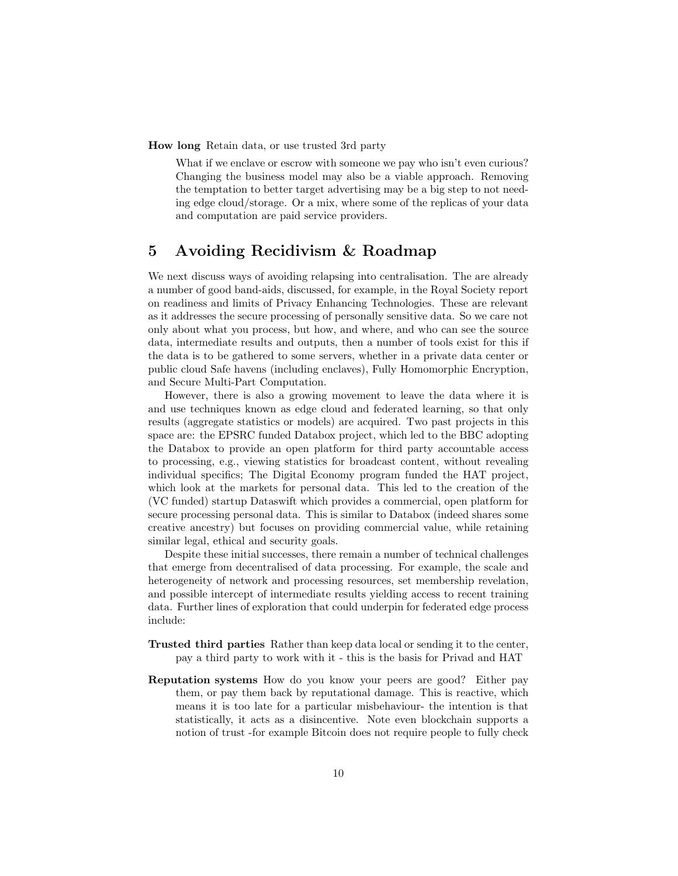How long Retain data, or use trusted 3rd party

What if we enclave or escrow with someone we pay who isn't even curious? Changing the business model may also be a viable approach. Removing the temptation to better target advertising may be a big step to not needing edge cloud/storage. Or a mix, where some of the replicas of your data and computation are paid service providers.

## 5 Avoiding Recidivism & Roadmap

We next discuss ways of avoiding relapsing into centralisation. The are already a number of good band-aids, discussed, for example, in the Royal Society report on readiness and limits of Privacy Enhancing Technologies. These are relevant as it addresses the secure processing of personally sensitive data. So we care not only about what you process, but how, and where, and who can see the source data, intermediate results and outputs, then a number of tools exist for this if the data is to be gathered to some servers, whether in a private data center or public cloud Safe havens (including enclaves), Fully Homomorphic Encryption, and Secure Multi-Part Computation.

However, there is also a growing movement to leave the data where it is and use techniques known as edge cloud and federated learning, so that only results (aggregate statistics or models) are acquired. Two past projects in this space are: the EPSRC funded Databox project, which led to the BBC adopting the Databox to provide an open platform for third party accountable access to processing, e.g., viewing statistics for broadcast content, without revealing individual specifics; The Digital Economy program funded the HAT project, which look at the markets for personal data. This led to the creation of the (VC funded) startup Dataswift which provides a commercial, open platform for secure processing personal data. This is similar to Databox (indeed shares some creative ancestry) but focuses on providing commercial value, while retaining similar legal, ethical and security goals.

Despite these initial successes, there remain a number of technical challenges that emerge from decentralised of data processing. For example, the scale and heterogeneity of network and processing resources, set membership revelation, and possible intercept of intermediate results yielding access to recent training data. Further lines of exploration that could underpin for federated edge process include:

- Trusted third parties Rather than keep data local or sending it to the center, pay a third party to work with it - this is the basis for Privad and HAT
- Reputation systems How do you know your peers are good? Either pay them, or pay them back by reputational damage. This is reactive, which means it is too late for a particular misbehaviour- the intention is that statistically, it acts as a disincentive. Note even blockchain supports a notion of trust -for example Bitcoin does not require people to fully check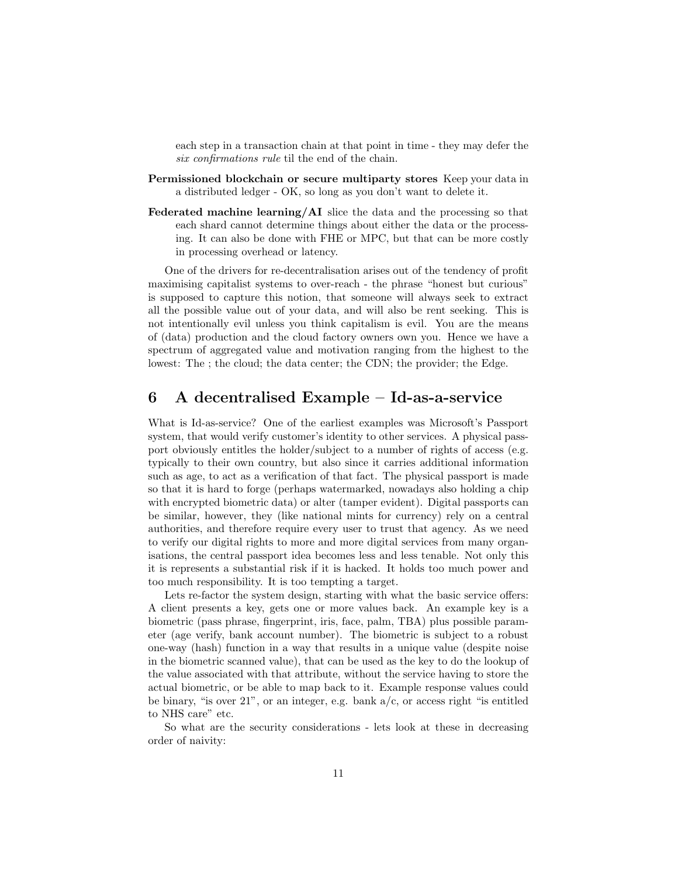each step in a transaction chain at that point in time - they may defer the six confirmations rule til the end of the chain.

- Permissioned blockchain or secure multiparty stores Keep your data in a distributed ledger - OK, so long as you don't want to delete it.
- Federated machine learning/AI slice the data and the processing so that each shard cannot determine things about either the data or the processing. It can also be done with FHE or MPC, but that can be more costly in processing overhead or latency.

One of the drivers for re-decentralisation arises out of the tendency of profit maximising capitalist systems to over-reach - the phrase "honest but curious" is supposed to capture this notion, that someone will always seek to extract all the possible value out of your data, and will also be rent seeking. This is not intentionally evil unless you think capitalism is evil. You are the means of (data) production and the cloud factory owners own you. Hence we have a spectrum of aggregated value and motivation ranging from the highest to the lowest: The ; the cloud; the data center; the CDN; the provider; the Edge.

# 6 A decentralised Example – Id-as-a-service

What is Id-as-service? One of the earliest examples was Microsoft's Passport system, that would verify customer's identity to other services. A physical passport obviously entitles the holder/subject to a number of rights of access (e.g. typically to their own country, but also since it carries additional information such as age, to act as a verification of that fact. The physical passport is made so that it is hard to forge (perhaps watermarked, nowadays also holding a chip with encrypted biometric data) or alter (tamper evident). Digital passports can be similar, however, they (like national mints for currency) rely on a central authorities, and therefore require every user to trust that agency. As we need to verify our digital rights to more and more digital services from many organisations, the central passport idea becomes less and less tenable. Not only this it is represents a substantial risk if it is hacked. It holds too much power and too much responsibility. It is too tempting a target.

Lets re-factor the system design, starting with what the basic service offers: A client presents a key, gets one or more values back. An example key is a biometric (pass phrase, fingerprint, iris, face, palm, TBA) plus possible parameter (age verify, bank account number). The biometric is subject to a robust one-way (hash) function in a way that results in a unique value (despite noise in the biometric scanned value), that can be used as the key to do the lookup of the value associated with that attribute, without the service having to store the actual biometric, or be able to map back to it. Example response values could be binary, "is over  $21$ ", or an integer, e.g. bank  $a/c$ , or access right "is entitled to NHS care" etc.

So what are the security considerations - lets look at these in decreasing order of naivity: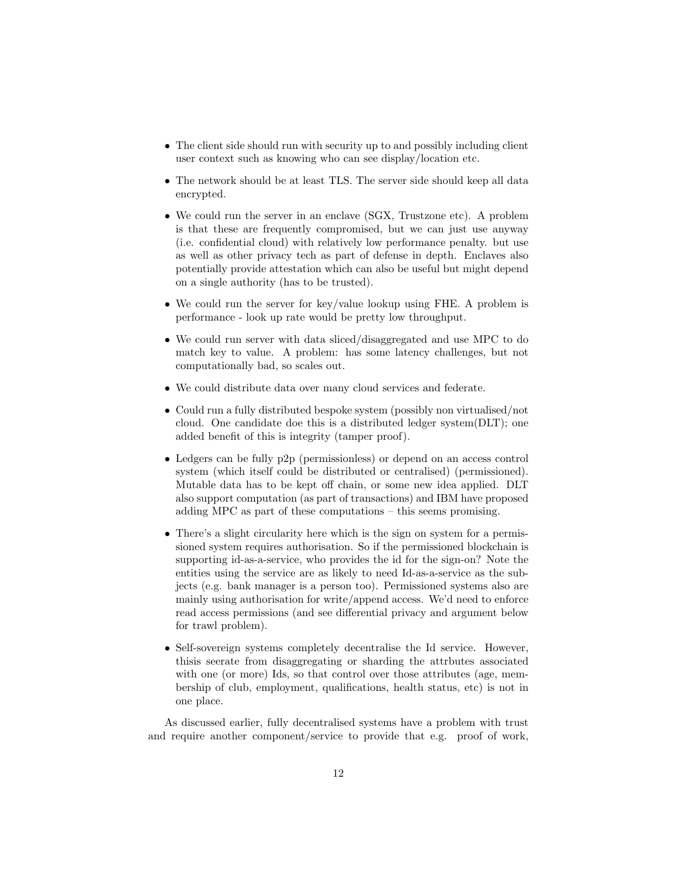- The client side should run with security up to and possibly including client user context such as knowing who can see display/location etc.
- The network should be at least TLS. The server side should keep all data encrypted.
- We could run the server in an enclave (SGX, Trustzone etc). A problem is that these are frequently compromised, but we can just use anyway (i.e. confidential cloud) with relatively low performance penalty. but use as well as other privacy tech as part of defense in depth. Enclaves also potentially provide attestation which can also be useful but might depend on a single authority (has to be trusted).
- We could run the server for key/value lookup using FHE. A problem is performance - look up rate would be pretty low throughput.
- We could run server with data sliced/disaggregated and use MPC to do match key to value. A problem: has some latency challenges, but not computationally bad, so scales out.
- We could distribute data over many cloud services and federate.
- Could run a fully distributed bespoke system (possibly non virtualised/not cloud. One candidate doe this is a distributed ledger system(DLT); one added benefit of this is integrity (tamper proof).
- Ledgers can be fully p2p (permissionless) or depend on an access control system (which itself could be distributed or centralised) (permissioned). Mutable data has to be kept off chain, or some new idea applied. DLT also support computation (as part of transactions) and IBM have proposed adding MPC as part of these computations – this seems promising.
- There's a slight circularity here which is the sign on system for a permissioned system requires authorisation. So if the permissioned blockchain is supporting id-as-a-service, who provides the id for the sign-on? Note the entities using the service are as likely to need Id-as-a-service as the subjects (e.g. bank manager is a person too). Permissioned systems also are mainly using authorisation for write/append access. We'd need to enforce read access permissions (and see differential privacy and argument below for trawl problem).
- Self-sovereign systems completely decentralise the Id service. However, thisis seerate from disaggregating or sharding the attrbutes associated with one (or more) Ids, so that control over those attributes (age, membership of club, employment, qualifications, health status, etc) is not in one place.

As discussed earlier, fully decentralised systems have a problem with trust and require another component/service to provide that e.g. proof of work,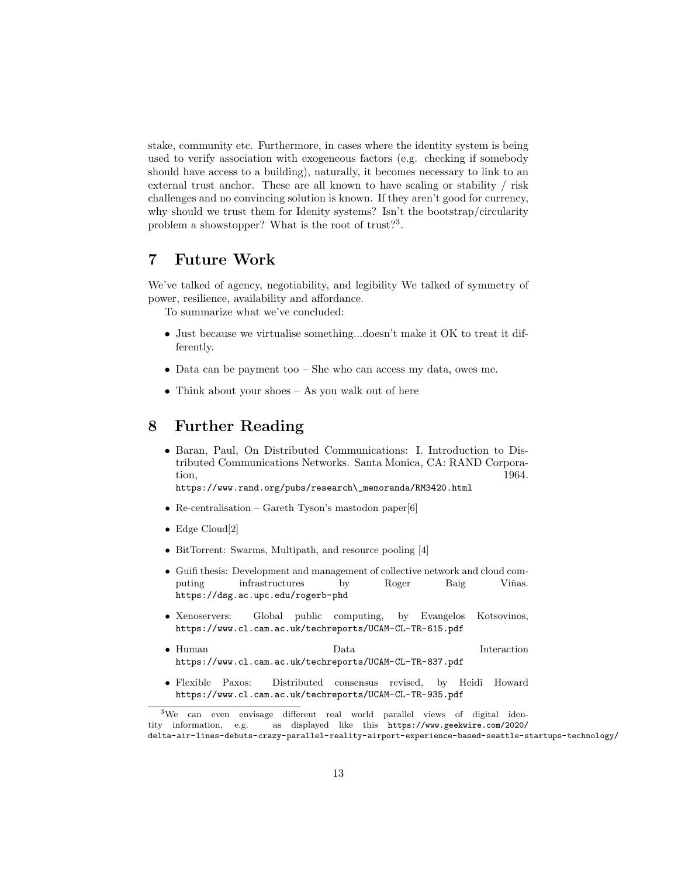stake, community etc. Furthermore, in cases where the identity system is being used to verify association with exogeneous factors (e.g. checking if somebody should have access to a building), naturally, it becomes necessary to link to an external trust anchor. These are all known to have scaling or stability / risk challenges and no convincing solution is known. If they aren't good for currency, why should we trust them for Idenity systems? Isn't the bootstrap/circularity problem a showstopper? What is the root of trust?<sup>3</sup>.

#### 7 Future Work

We've talked of agency, negotiability, and legibility We talked of symmetry of power, resilience, availability and affordance.

To summarize what we've concluded:

- Just because we virtualise something...doesn't make it OK to treat it differently.
- Data can be payment too She who can access my data, owes me.
- Think about your shoes  $-$  As you walk out of here

#### 8 Further Reading

- Baran, Paul, On Distributed Communications: I. Introduction to Distributed Communications Networks. Santa Monica, CA: RAND Corpora- $\text{tion},$  1964. https://www.rand.org/pubs/research\\_memoranda/RM3420.html
- Re-centralisation Gareth Tyson's mastodon paper[6]
- $\bullet~$  Edge Cloud[2]
- BitTorrent: Swarms, Multipath, and resource pooling [4]
- Guifi thesis: Development and management of collective network and cloud computing infrastructures by Roger Baig Viñas. https://dsg.ac.upc.edu/rogerb-phd
- Xenoservers: Global public computing, by Evangelos Kotsovinos, https://www.cl.cam.ac.uk/techreports/UCAM-CL-TR-615.pdf
- Human Data Interaction https://www.cl.cam.ac.uk/techreports/UCAM-CL-TR-837.pdf
- Flexible Paxos: Distributed consensus revised, by Heidi Howard https://www.cl.cam.ac.uk/techreports/UCAM-CL-TR-935.pdf

<sup>3</sup>We can even envisage different real world parallel views of digital identity information, e.g. as displayed like this https://www.geekwire.com/2020/ delta-air-lines-debuts-crazy-parallel-reality-airport-experience-based-seattle-startups-technology/